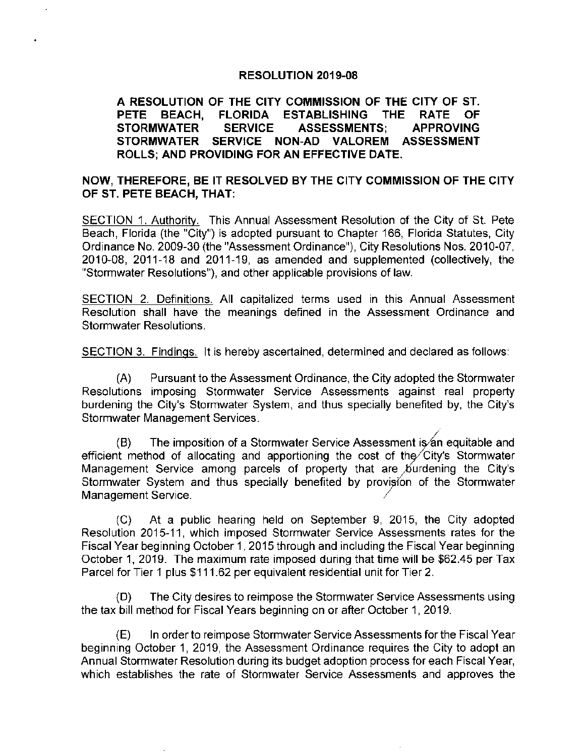#### **RESOLUTION 2019-08**

#### **A RESOLUTION OF THE CITY COMMISSION OF THE CITY OF ST. PETE BEACH, FLORIDA ESTABLISHING THE RATE OF STORMWATER SERVICE ASSESSMENTS; APPROVING STORMWATER SERVICE NON-AD VALOREM ASSESSMENT ROLLS; AND PROVIDING FOR AN EFFECTIVE DATE.**

#### **NOW, THEREFORE, BE IT RESOLVED BY THE CITY COMMISSION OF THE CITY OF ST. PETE BEACH, THAT:**

SECTION 1. Authority. This Annual Assessment Resolution of the City of St. Pete Beach, Florida (the "City") is adopted pursuant to Chapter 166, Florida Statutes, City Ordinance No. 2009-30 (the "Assessment Ordinance"), City Resolutions Nos. 2010-07, 2010-08, 2011 -18 and 2011-19, as amended and supplemented (collectively, the "Stormwater Resolutions"), and other applicable provisions of law.

SECTION 2. Definitions. All capitalized terms used in this Annual Assessment Resolution shall have the meanings defined in the Assessment Ordinance and Stormwater Resolutions.

SECTION 3. Findings. It is hereby ascertained, determined and declared as follows:

(A) Pursuant to the Assessment Ordinance, the City adopted the Stormwater Resolutions imposing Stormwater Service Assessments against real property burdening the City's Stormwater System, and thus specially benefited by, the City's Stormwater Management Services.

(B) The imposition of a Stormwater Service Assessment is an equitable and efficient method of allocating and apportioning the cost of the City's Stormwater Management Service among parcels of property that are burdening the City's Stormwater System and thus specially benefited by provision of the Stormwater Management Service.

(C) At a public hearing held on September 9, 2015, the City adopted Resolution 2015-11 , which imposed Stormwater Service Assessments rates for the Fiscal Year beginning October 1, 2015 through and including the Fiscal Year beginning October 1, 2019. The maximum rate imposed during that time will be \$62.45 per Tax Parcel for Tier 1 plus \$111 .62 per equivalent residential unit for Tier 2.

(D) The City desires to reimpose the Stormwater Service Assessments using the tax bill method for Fiscal Years beginning on or after October 1, 2019.

(E) In order to reimpose Stormwater Service Assessments for the Fiscal Year beginning October 1, 2019, the Assessment Ordinance requires the City to adopt an Annual Stormwater Resolution during its budget adoption process for each Fiscal Year, which establishes the rate of Stormwater Service Assessments and approves the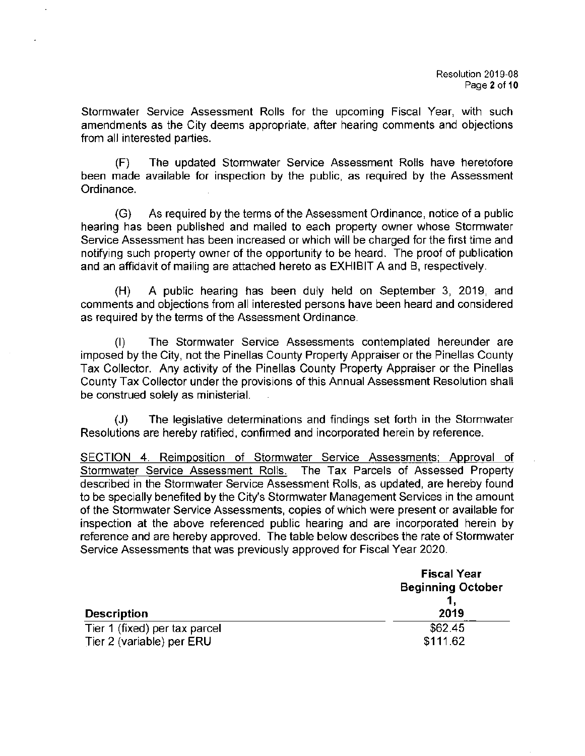Stormwater Service Assessment Rolls for the upcoming Fiscal Year, with such amendments as the City deems appropriate, after hearing comments and objections from all interested parties.

(F) The updated Stormwater Service Assessment Rolls have heretofore been made available for inspection by the public, as required by the Assessment Ordinance.

(G) As required by the terms of the Assessment Ordinance, notice of a public hearing has been published and mailed to each property owner whose Stormwater Service Assessment has been increased or which will be charged for the first time and notifying such property owner of the opportunity to be heard. The proof of publication and an affidavit of mailing are attached hereto as EXHIBIT A and B, respectively.

(H) A public hearing has been duly held on September 3, 2019, and comments and objections from all interested persons have been heard and considered as required by the terms of the Assessment Ordinance.

(I) The Stormwater Service Assessments contemplated hereunder are imposed by the City, not the Pinellas County Property Appraiser or the Pinellas County Tax Collector. Any activity of the Pinellas County Property Appraiser or the Pinellas County Tax Collector under the provisions of this Annual Assessment Resolution shall be construed solely as ministerial.

(J) The legislative determinations and findings set forth in the Stormwater Resolutions are hereby ratified, confirmed and incorporated herein by reference.

SECTION 4. Reimposition of Stormwater Service Assessments; Approval of Stormwater Service Assessment Rolls. The Tax Parcels of Assessed Property described in the Stormwater Service Assessment Rolls, as updated, are hereby found to be specially benefited by the City's Stormwater Management Services in the amount of the Stormwater Service Assessments, copies of which were present or available for inspection at the above referenced public hearing and are incorporated herein by reference and are hereby approved. The table below describes the rate of Stormwater Service Assessments that was previously approved for Fiscal Year 2020.

|                               | <b>Fiscal Year</b><br><b>Beginning October</b> |  |
|-------------------------------|------------------------------------------------|--|
|                               |                                                |  |
|                               |                                                |  |
| <b>Description</b>            | 2019                                           |  |
| Tier 1 (fixed) per tax parcel | \$62.45                                        |  |
| Tier 2 (variable) per ERU     | \$111.62                                       |  |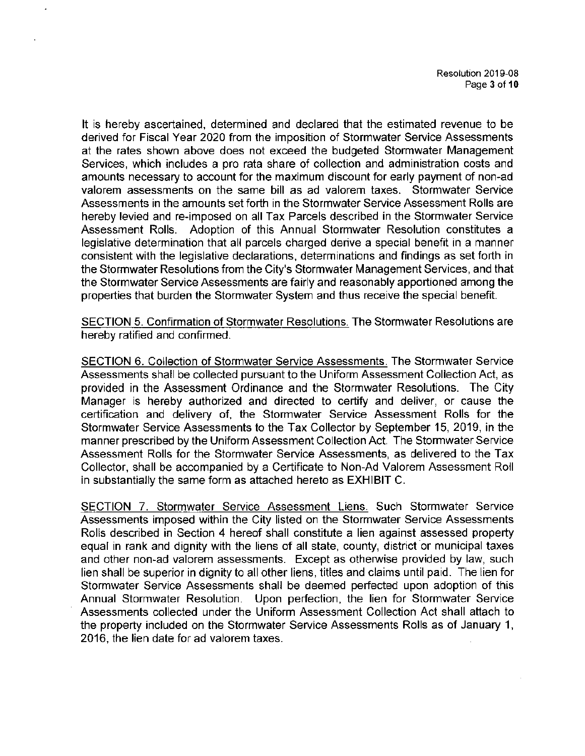It is hereby ascertained, determined and declared that the estimated revenue to be derived for Fiscal Year 2020 from the imposition of Stormwater Service Assessments at the rates shown above does not exceed the budgeted Stormwater Management Services, which includes a pro rata share of collection and administration costs and amounts necessary to account for the maximum discount for early payment of non-ad valorem assessments on the same bill as ad valorem taxes. Stormwater Service Assessments in the amounts set forth in the Stormwater Service Assessment Rolls are hereby levied and re-imposed on all Tax Parcels described in the Stormwater Service Assessment Rolls. Adoption of this Annual Stormwater Resolution constitutes a legislative determination that all parcels charged derive a special benefit in a manner consistent with the legislative declarations, determinations and findings as set forth in the Stormwater Resolutions from the City's Stormwater Management Services, and that the Stormwater Service Assessments are fairly and reasonably apportioned among the properties that burden the Stormwater System and thus receive the special benefit.

SECTION 5. Confirmation of Stormwater Resolutions. The Stormwater Resolutions are hereby ratified and confirmed.

SECTION 6. Collection of Stormwater Service Assessments. The Stormwater Service Assessments shall be collected pursuant to the Uniform Assessment Collection Act, as provided in the Assessment Ordinance and the Stormwater Resolutions. The City Manager is hereby authorized and directed to certify and deliver, or cause the certification and delivery of, the Stormwater Service Assessment Rolls for the Stormwater Service Assessments to the Tax Collector by September 15, 2019, in the manner prescribed by the Uniform Assessment Collection Act. The Stormwater Service Assessment Rolls for the Stormwater Service Assessments, as delivered to the Tax Collector, shall be accompanied by a Certificate to Non-Ad Valorem Assessment Roll in substantially the same form as attached hereto as EXHIBIT C.

SECTION 7. Stormwater Service Assessment Liens. Such Stormwater Service Assessments imposed within the City listed on the Stormwater Service Assessments Rolls described in Section 4 hereof shall constitute a lien against assessed property equal in rank and dignity with the liens of all state, county, district or municipal taxes and other non-ad valorem assessments. Except as otherwise provided by law, such lien shall be superior in dignity to all other liens, titles and claims until paid. The lien for Stormwater Service Assessments shall be deemed perfected upon adoption of this Annual Stormwater Resolution. Upon perfection, the lien for Stormwater Service Assessments collected under the Uniform Assessment Collection Act shall attach to the property included on the Stormwater Service Assessments Rolls as of January 1, 2016, the lien date for ad valorem taxes.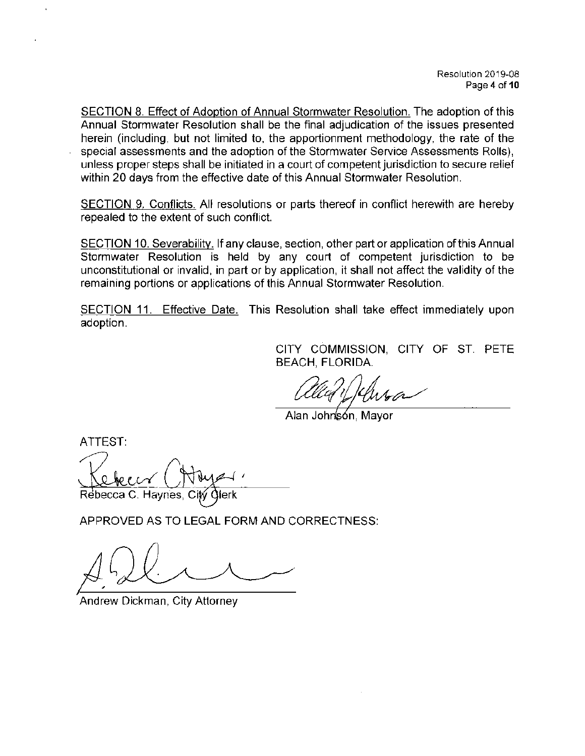SECTION 8. Effect of Adoption of Annual Stormwater Resolution. The adoption of this Annual Stormwater Resolution shall be the final adjudication of the issues presented herein (including, but not limited to, the apportionment methodology, the rate of the special assessments and the adoption of the Stormwater Service Assessments Rolls) , unless proper steps shall be initiated in a court of competent jurisdiction to secure relief within 20 days from the effective date of this Annual Stormwater Resolution.

SECTION 9. Conflicts. All resolutions or parts thereof in conflict herewith are hereby repealed to the extent of such conflict.

SECTION 10. Severability. If any clause, section, other part or application of this Annual Stormwater Resolution is held by any court of competent jurisdiction to be unconstitutional or invalid, in part or by application, it shall not affect the validity of the remaining portions or applications of this Annual Stormwater Resolution.

SECTION 11. Effective Date. This Resolution shall take effect immediately upon adoption.

> CITY COMMISSION, CITY OF ST. PETE BEACH, FLORIDA.

Alan John'són, Mayor

ATTEST:

I Rebecca C. Haynes, ilerk

APPROVED AS TO LEGAL FORM AND CORRECTNESS:

Andrew Dickman, City Attorney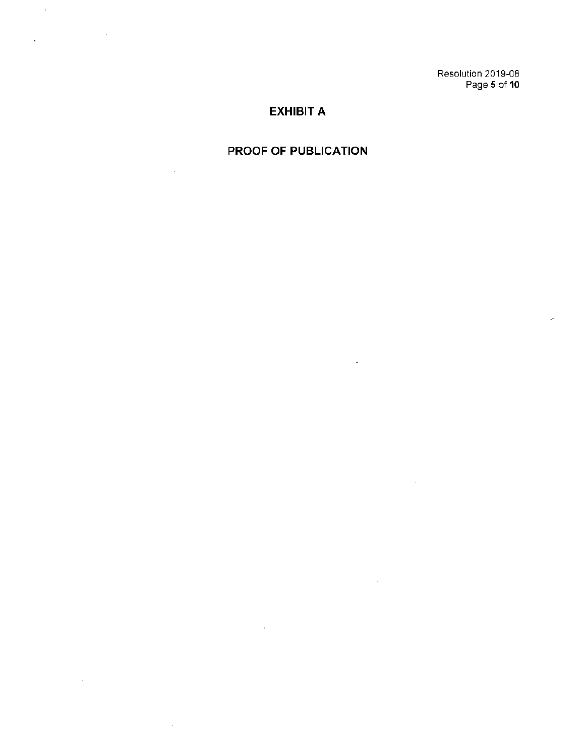Resolution 2019-08 Page 5 of 10

## **EXHIBIT A**

÷.

 $\ddot{\phantom{0}}$ 

 $\sim 10$ 

## **PROOF OF PUBLICATION**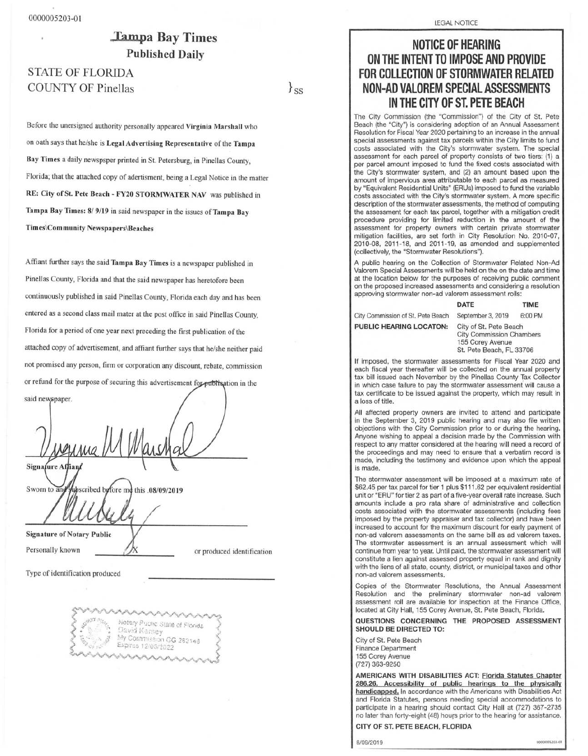# Ia**m**pa Bay Times Published Daily

 $\{s\}$ 

# STATE OF FLORIDA COUNTY OF Pinellas

Before the unersigned authority personally appeared Virginia Marshall who on oath says that he/she is Legal Advertising Representative of the Tampa Bay Times a daily newspsper printed in St. Petersburg, in Pinellas County, Florida; that the attached copy of adertisment, being a Legal Notice in the matter RE: City of St. Pete Beach - FY20 STORMWATER NAY was published in Tampa Bay Times: 8/ 9/19 in said newspaper in the issues of Tampa Bay Times\Community Newspapers\Beaches

Affiant further says the said Tampa Bay Times is a newspaper published in Pinellas County, Florida and that the said newspaper has heretofore been continuously published in said Pinellas County, Florida each day and has been entered as a second class mail mater at the post office in said Pinellas County, Florida for a period of one year next preceding the first publication of the attached copy of advertisement, and affiant further says that he/she neither paid not promised any person, firm or corporation any discount, rebate, commission or refund for the purpose of securing this advertisement for publication in the said newspaper.

Signafure Affiant

Sworn to an ubscribed before me this .08/09/2019

**Signature of Notary Public** 

Personally known  $\sqrt{X}$  or produced identification

Type of identification produced

Notary Public State of Florida David Kensey My Commission GG 282143 Expires 12/05/2022

# **NOTICE OF HEARING ON THE INTENT TO IMPOSE AND PROVIDE FOR COLLECTION OF STORMWATER RELATED NON-AD VALOREM SPECIAL ASSESSMENTS IN THE CITY OF ST. PETE BEACH**

The City Commission (the "Commission") of the City of St. Pete Beach (the "City") is considering adoption of an Annual Assessment Resolution for Fiscal Year 2020 pertaining to an increase in the annual special assessments against tax parcels within the City limits to fund costs associated with the City's stormwater system. The special assessment for each parcel of property consists of two tiers: (1) a per parcel amount imposed to fund the fixed costs associated with the City's stormwater system, and (2) an amount based upon the amount of impervious area attributable to each parcel as measured by "Equivalent Residential Units" (ERUs) imposed to fund the variable costs associated with the City's stormwater system . A more specific description of the stormwater assessments, the method of computing the assessment for each tax parcel, together with a mitigation credit procedure providing for limited reduction in the amount of the assessment for property owners with certain private stormwater mitigation facilities, are set forth in City Resolution No. 2010-07, 201 0-08, 2011-18, and 2011-19, as amended and supplemented (collectively, the "Stormwater Resolutions").

A public hearing on the Collection of Stormwater Related Non-Ad Valorem Special Assessments will be held on the on the date and time at the location below for the purposes of receiving public comment on the proposed increased assessments and considering a resolution approving stormwater non-ad valorem assessment rolls:

|                                   | DATE                                                                          | <b>TIME</b> |
|-----------------------------------|-------------------------------------------------------------------------------|-------------|
| City Commission of St. Pete Beach | September 3, 2019                                                             | 6:00 PM     |
| <b>PUBLIC HEARING LOCATON:</b>    | City of St. Pete Beach<br><b>City Commission Chambers</b><br>155 Corey Avenue |             |

Avenue St. Pete Beach, FL 33706

**TIME** 

If imposed, the stormwater assessments for Fiscal Year 2020 and each fiscal year thereafter will be collected on the annual property tax bill issued each November by the Pinellas County Tax Collector in which case failure to pay the stormwater assessment will cause a tax certificate to be issued against the property, which may result in a loss of title.

All affected property owners are invited to attend and participate in the September 3, 2019 public hearing and may also file written objections with the City Commission prior to or during the hearing. Anyone wishing to appeal a decision made by the Commission with respect to any matter considered at the hearing will need a record of the proceedings and may need to ensure that a verbatim record is made, including the testimony and evidence upon which the appeal is made.

The stormwater assessment will be imposed at a maximum rate of \$62.45 per tax parcel for tier 1 plus \$111 .62 per equivalent residential unit or "ERU" for tier 2 as part of a five-year overall rate increase. Such amounts include a pro rata share of administrative and collection costs associated with the stormwater assessments (including fees imposed by the property appraiser and tax collector) and have been increased to account for the maximum discount for early payment of non-ad valorem assessments on the same bill as ad valorem taxes. The stormwater assessment is an annual assessment which will continue from year to year. Until paid, the stormwater assessment will constitute a lien against assessed property equal in rank and dignity with the liens of all state, county, district, or municipal taxes and other non-ad valorem assessments.

Copies of the Stormwater Resolutions, the Annual Assessment Resolution and the preliminary stormwater non-ad valorem assessment roll are available for inspection at the Finance Office, located at City Hall, 155 Corey Avenue, St. Pete Beach, Florida.

#### QUESTIONS CONCERNING THE PROPOSED ASSESSMENT SHOULD BE DIRECTED TO:

City of St. Pete Beach Finance Department 155 Corey Avenue (727) 363-9250

AMERICANS WITH DISABILITIES ACT: Florida Statutes Chapter 286.26. Accessibility of public hearings to the physically handicapped. In accordance with the Americans with Disabilities Act and Florida Statutes, persons needing special accommodations to participate in a hearing should contact City Hall at (727} 367-2735 no later than forty-eight (48) hours prior to the hearing for assistance.

8/09/2019 0000005203-01

CITY OF ST. PETE BEACH, FLORIDA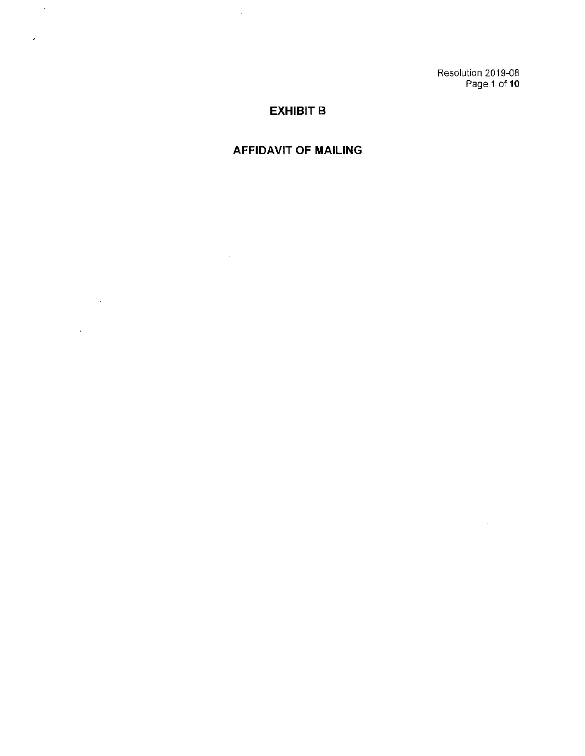Resolution 2019-08 Page 1 of 10

 $\sim 10^7$ 

## **EXHIBIT B**

 $\sim$ 

 $\mathcal{A}^{\text{max}}_{\text{max}}$ 

 $\sim 10$ 

 $\mathbf{z}$  .

 $\mathcal{A}$ 

 $\mathcal{L}(\mathcal{A})$  and  $\mathcal{L}(\mathcal{A})$ 

 $\sim 10^{-11}$ 

## **AFFIDAVIT OF MAILING**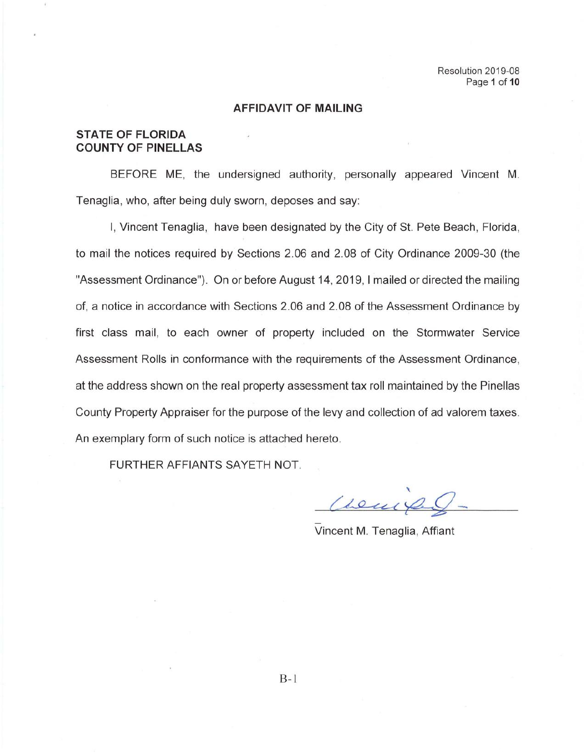#### **AFFIDAVIT OF MAILING**

#### **STATE OF FLORIDA COUNTY OF PINELLAS**

BEFORE ME, the undersigned authority, personally appeared Vincent M. Tenaglia, who, after being duly sworn, deposes and say:

I, Vincent Tenaglia, have been designated by the City of St. Pete Beach, Florida, to mail the notices required by Sections 2.06 and 2.08 of City Ordinance 2009-30 (the "Assessment Ordinance"). On or before August 14, 2019, I mailed or directed the mailing of, a notice in accordance with Sections 2.06 and 2.08 of the Assessment Ordinance by first class mail, to each owner of property included on the Stormwater Service Assessment Rolls in conformance with the requirements of the Assessment Ordinance, at the address shown on the real property assessment tax roll maintained by the Pinellas County Property Appraiser for the purpose of the levy and collection of ad valorem taxes. An exemplary form of such notice is attached hereto.

FURTHER AFFIANTS SAYETH NOT.

Chemil

- Vincent M. Tenaglia, Affiant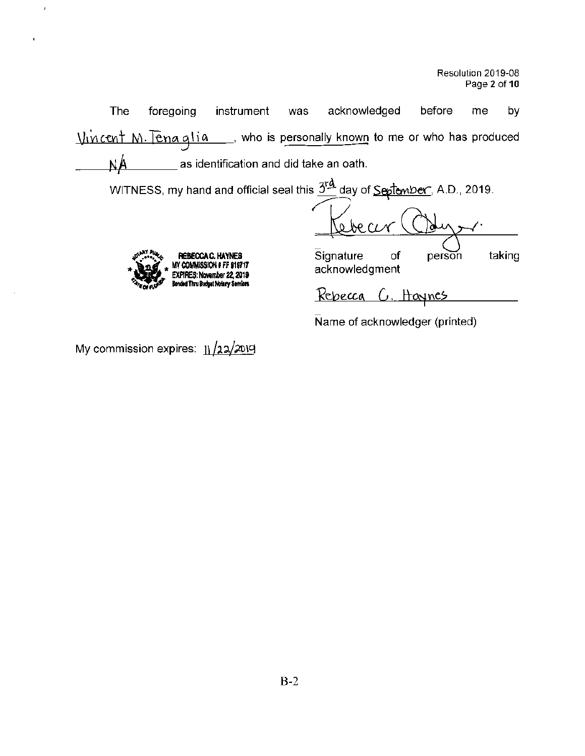Resolution 2019-08 Page 2 of 10

The foregoing instrument was acknowledged before me by  $Wincent M. Fena glia$ , who is personally known to me or who has produced</u>  $N\overline{A}$  as identification and did take an oath.

WITNESS, my hand and official seal this  $\frac{3^{rd}}{1}$  day of  $\frac{September}{1}$ , A.D., 2019.

"'4,-,o, n.dl-• BondedTllru Budget Notlry Senlca

<u>Cebeccr (Auger</u><br>Signature of person taking

~<sup>o.w...</sup>.<sup>...</sup><br>\*... **And Aristan in Rebecca c. Haynes**<br>\*... • EXPIRES: Nowww.ber 22. 2019 acknowledgment "~it" EXPIRES: Nowww.ber 22. 2019

Repecca C. Haynes

- Name of acknowledger (printed)

My commission expires:  $\frac{11}{22}$ /2019

ï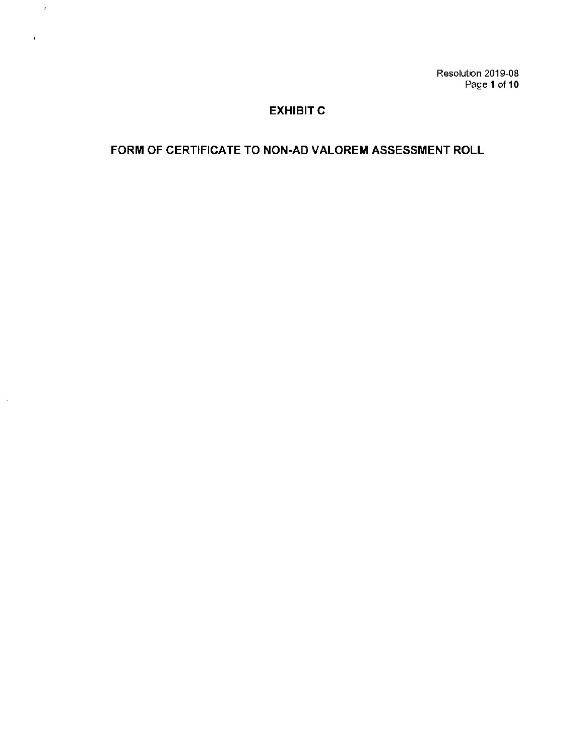Resolution 2019-08 Page 1 of 10

### **EXHIBIT C**

 $\langle \cdot, \cdot \rangle$ 

 $\epsilon$ 

 $\sim$ 

## **FORM OF CERTIFICATE TO NON-AD VALOREM ASSESSMENT ROLL**